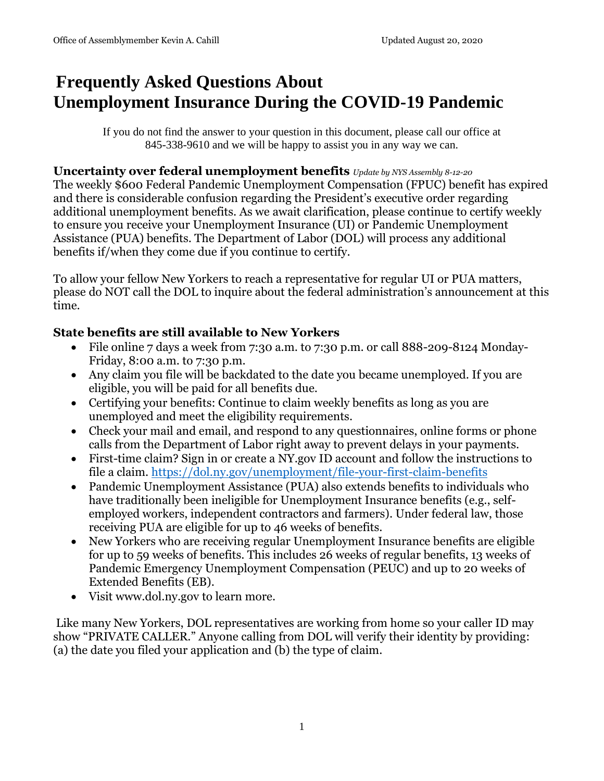# **Frequently Asked Questions About Unemployment Insurance During the COVID-19 Pandemic**

If you do not find the answer to your question in this document, please call our office at 845-338-9610 and we will be happy to assist you in any way we can.

#### **Uncertainty over federal unemployment benefits** *Update by NYS Assembly 8-12-20*

The weekly \$600 Federal Pandemic Unemployment Compensation (FPUC) benefit has expired and there is considerable confusion regarding the President's executive order regarding additional unemployment benefits. As we await clarification, please continue to certify weekly to ensure you receive your Unemployment Insurance (UI) or Pandemic Unemployment Assistance (PUA) benefits. The Department of Labor (DOL) will process any additional benefits if/when they come due if you continue to certify.

To allow your fellow New Yorkers to reach a representative for regular UI or PUA matters, please do NOT call the DOL to inquire about the federal administration's announcement at this time.

# **State benefits are still available to New Yorkers**

- File online 7 days a week from 7:30 a.m. to 7:30 p.m. or call 888-209-8124 Monday-Friday, 8:00 a.m. to 7:30 p.m.
- Any claim you file will be backdated to the date you became unemployed. If you are eligible, you will be paid for all benefits due.
- Certifying your benefits: Continue to claim weekly benefits as long as you are unemployed and meet the eligibility requirements.
- Check your mail and email, and respond to any questionnaires, online forms or phone calls from the Department of Labor right away to prevent delays in your payments.
- First-time claim? Sign in or create a NY.gov ID account and follow the instructions to file a claim. <https://dol.ny.gov/unemployment/file-your-first-claim-benefits>
- Pandemic Unemployment Assistance (PUA) also extends benefits to individuals who have traditionally been ineligible for Unemployment Insurance benefits (e.g., selfemployed workers, independent contractors and farmers). Under federal law, those receiving PUA are eligible for up to 46 weeks of benefits.
- New Yorkers who are receiving regular Unemployment Insurance benefits are eligible for up to 59 weeks of benefits. This includes 26 weeks of regular benefits, 13 weeks of Pandemic Emergency Unemployment Compensation (PEUC) and up to 20 weeks of Extended Benefits (EB).
- Visit www.dol.ny.gov to learn more.

Like many New Yorkers, DOL representatives are working from home so your caller ID may show "PRIVATE CALLER." Anyone calling from DOL will verify their identity by providing: (a) the date you filed your application and (b) the type of claim.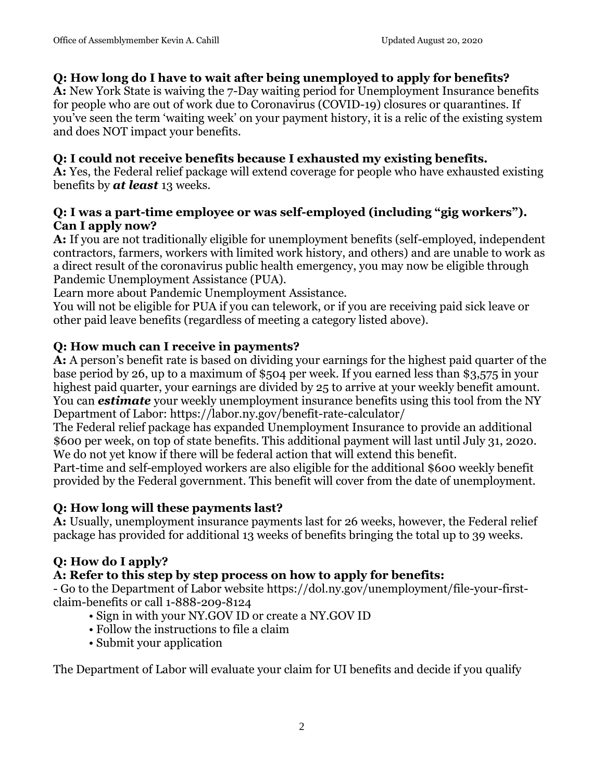#### **Q: How long do I have to wait after being unemployed to apply for benefits?**

**A:** New York State is waiving the 7-Day waiting period for Unemployment Insurance benefits for people who are out of work due to Coronavirus (COVID-19) closures or quarantines. If you've seen the term 'waiting week' on your payment history, it is a relic of the existing system and does NOT impact your benefits.

#### **Q: I could not receive benefits because I exhausted my existing benefits.**

**A:** Yes, the Federal relief package will extend coverage for people who have exhausted existing benefits by *at least* 13 weeks.

#### **Q: I was a part-time employee or was self-employed (including "gig workers"). Can I apply now?**

**A:** If you are not traditionally eligible for unemployment benefits (self-employed, independent contractors, farmers, workers with limited work history, and others) and are unable to work as a direct result of the coronavirus public health emergency, you may now be eligible through Pandemic Unemployment Assistance (PUA).

Learn more about Pandemic Unemployment Assistance.

You will not be eligible for PUA if you can telework, or if you are receiving paid sick leave or other paid leave benefits (regardless of meeting a category listed above).

#### **Q: How much can I receive in payments?**

**A:** A person's benefit rate is based on dividing your earnings for the highest paid quarter of the base period by 26, up to a maximum of \$504 per week. If you earned less than \$3,575 in your highest paid quarter, your earnings are divided by 25 to arrive at your weekly benefit amount. You can *estimate* your weekly unemployment insurance benefits using this tool from the NY Department of Labor: https://labor.ny.gov/benefit-rate-calculator/

The Federal relief package has expanded Unemployment Insurance to provide an additional \$600 per week, on top of state benefits. This additional payment will last until July 31, 2020. We do not yet know if there will be federal action that will extend this benefit.

Part-time and self-employed workers are also eligible for the additional \$600 weekly benefit provided by the Federal government. This benefit will cover from the date of unemployment.

# **Q: How long will these payments last?**

**A:** Usually, unemployment insurance payments last for 26 weeks, however, the Federal relief package has provided for additional 13 weeks of benefits bringing the total up to 39 weeks.

# **Q: How do I apply?**

# **A: Refer to this step by step process on how to apply for benefits:**

- Go to the Department of Labor website https://dol.ny.gov/unemployment/file-your-firstclaim-benefits or call 1-888-209-8124

- Sign in with your NY.GOV ID or create a NY.GOV ID
- Follow the instructions to file a claim
- Submit your application

The Department of Labor will evaluate your claim for UI benefits and decide if you qualify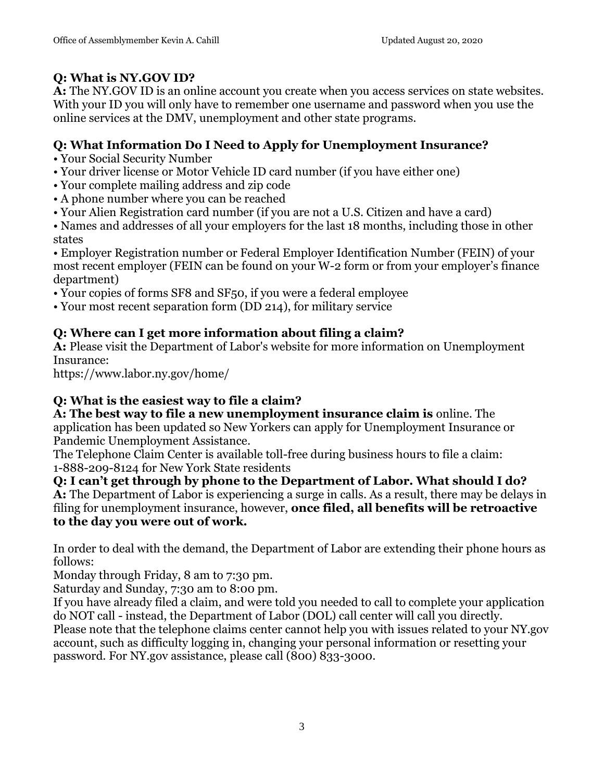# **Q: What is NY.GOV ID?**

**A:** The NY.GOV ID is an online account you create when you access services on state websites. With your ID you will only have to remember one username and password when you use the online services at the DMV, unemployment and other state programs.

# **Q: What Information Do I Need to Apply for Unemployment Insurance?**

• Your Social Security Number

- Your driver license or Motor Vehicle ID card number (if you have either one)
- Your complete mailing address and zip code
- A phone number where you can be reached
- Your Alien Registration card number (if you are not a U.S. Citizen and have a card)
- Names and addresses of all your employers for the last 18 months, including those in other states

• Employer Registration number or Federal Employer Identification Number (FEIN) of your most recent employer (FEIN can be found on your W-2 form or from your employer's finance department)

- Your copies of forms SF8 and SF50, if you were a federal employee
- Your most recent separation form (DD 214), for military service

# **Q: Where can I get more information about filing a claim?**

**A:** Please visit the Department of Labor's website for more information on Unemployment Insurance:

https://www.labor.ny.gov/home/

# **Q: What is the easiest way to file a claim?**

**A: The best way to file a new unemployment insurance claim is** online. The application has been updated so New Yorkers can apply for Unemployment Insurance or Pandemic Unemployment Assistance.

The Telephone Claim Center is available toll-free during business hours to file a claim: 1-888-209-8124 for New York State residents

**Q: I can't get through by phone to the Department of Labor. What should I do? A:** The Department of Labor is experiencing a surge in calls. As a result, there may be delays in filing for unemployment insurance, however, **once filed, all benefits will be retroactive to the day you were out of work.** 

In order to deal with the demand, the Department of Labor are extending their phone hours as follows:

Monday through Friday, 8 am to 7:30 pm.

Saturday and Sunday, 7:30 am to 8:00 pm.

If you have already filed a claim, and were told you needed to call to complete your application do NOT call - instead, the Department of Labor (DOL) call center will call you directly. Please note that the telephone claims center cannot help you with issues related to your NY.gov account, such as difficulty logging in, changing your personal information or resetting your password. For NY.gov assistance, please call (800) 833-3000.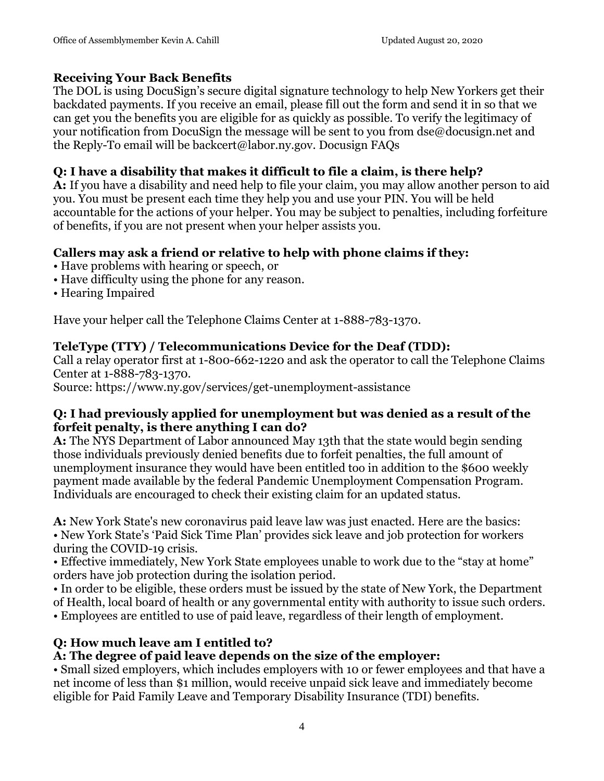#### **Receiving Your Back Benefits**

The DOL is using DocuSign's secure digital signature technology to help New Yorkers get their backdated payments. If you receive an email, please fill out the form and send it in so that we can get you the benefits you are eligible for as quickly as possible. To verify the legitimacy of your notification from DocuSign the message will be sent to you from dse@docusign.net and the Reply-To email will be backcert@labor.ny.gov. Docusign FAQs

#### **Q: I have a disability that makes it difficult to file a claim, is there help?**

**A:** If you have a disability and need help to file your claim, you may allow another person to aid you. You must be present each time they help you and use your PIN. You will be held accountable for the actions of your helper. You may be subject to penalties, including forfeiture of benefits, if you are not present when your helper assists you.

#### **Callers may ask a friend or relative to help with phone claims if they:**

- Have problems with hearing or speech, or
- Have difficulty using the phone for any reason.
- Hearing Impaired

Have your helper call the Telephone Claims Center at 1-888-783-1370.

#### **TeleType (TTY) / Telecommunications Device for the Deaf (TDD):**

Call a relay operator first at 1-800-662-1220 and ask the operator to call the Telephone Claims Center at 1-888-783-1370.

Source: https://www.ny.gov/services/get-unemployment-assistance

#### **Q: I had previously applied for unemployment but was denied as a result of the forfeit penalty, is there anything I can do?**

**A:** The NYS Department of Labor announced May 13th that the state would begin sending those individuals previously denied benefits due to forfeit penalties, the full amount of unemployment insurance they would have been entitled too in addition to the \$600 weekly payment made available by the federal Pandemic Unemployment Compensation Program. Individuals are encouraged to check their existing claim for an updated status.

**A:** New York State's new coronavirus paid leave law was just enacted. Here are the basics: • New York State's 'Paid Sick Time Plan' provides sick leave and job protection for workers during the COVID-19 crisis.

• Effective immediately, New York State employees unable to work due to the "stay at home" orders have job protection during the isolation period.

• In order to be eligible, these orders must be issued by the state of New York, the Department of Health, local board of health or any governmental entity with authority to issue such orders.

• Employees are entitled to use of paid leave, regardless of their length of employment.

# **Q: How much leave am I entitled to?**

# **A: The degree of paid leave depends on the size of the employer:**

• Small sized employers, which includes employers with 10 or fewer employees and that have a net income of less than \$1 million, would receive unpaid sick leave and immediately become eligible for Paid Family Leave and Temporary Disability Insurance (TDI) benefits.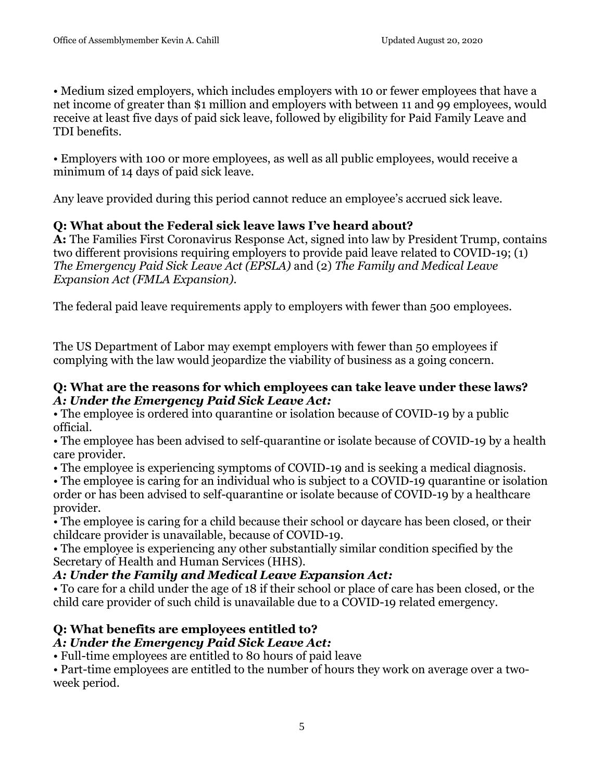• Medium sized employers, which includes employers with 10 or fewer employees that have a net income of greater than \$1 million and employers with between 11 and 99 employees, would receive at least five days of paid sick leave, followed by eligibility for Paid Family Leave and TDI benefits.

• Employers with 100 or more employees, as well as all public employees, would receive a minimum of 14 days of paid sick leave.

Any leave provided during this period cannot reduce an employee's accrued sick leave.

#### **Q: What about the Federal sick leave laws I've heard about?**

**A:** The Families First Coronavirus Response Act, signed into law by President Trump, contains two different provisions requiring employers to provide paid leave related to COVID-19; (1) *The Emergency Paid Sick Leave Act (EPSLA)* and (2) *The Family and Medical Leave Expansion Act (FMLA Expansion).* 

The federal paid leave requirements apply to employers with fewer than 500 employees.

The US Department of Labor may exempt employers with fewer than 50 employees if complying with the law would jeopardize the viability of business as a going concern.

#### **Q: What are the reasons for which employees can take leave under these laws?**  *A: Under the Emergency Paid Sick Leave Act:*

• The employee is ordered into quarantine or isolation because of COVID-19 by a public official.

• The employee has been advised to self-quarantine or isolate because of COVID-19 by a health care provider.

• The employee is experiencing symptoms of COVID-19 and is seeking a medical diagnosis.

• The employee is caring for an individual who is subject to a COVID-19 quarantine or isolation order or has been advised to self-quarantine or isolate because of COVID-19 by a healthcare provider.

• The employee is caring for a child because their school or daycare has been closed, or their childcare provider is unavailable, because of COVID-19.

• The employee is experiencing any other substantially similar condition specified by the Secretary of Health and Human Services (HHS).

#### *A: Under the Family and Medical Leave Expansion Act:*

• To care for a child under the age of 18 if their school or place of care has been closed, or the child care provider of such child is unavailable due to a COVID-19 related emergency.

# **Q: What benefits are employees entitled to?**

# *A: Under the Emergency Paid Sick Leave Act:*

• Full-time employees are entitled to 80 hours of paid leave

• Part-time employees are entitled to the number of hours they work on average over a twoweek period.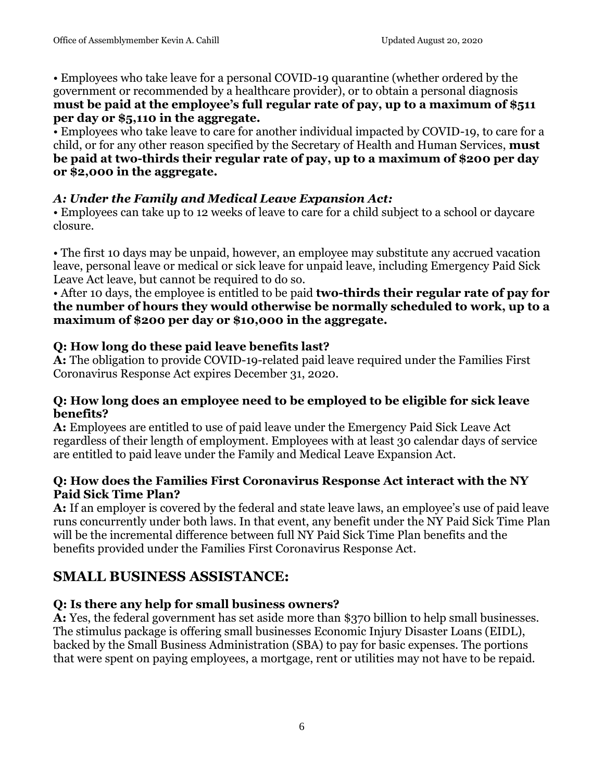• Employees who take leave for a personal COVID-19 quarantine (whether ordered by the government or recommended by a healthcare provider), or to obtain a personal diagnosis **must be paid at the employee's full regular rate of pay, up to a maximum of \$511 per day or \$5,110 in the aggregate.** 

• Employees who take leave to care for another individual impacted by COVID-19, to care for a child, or for any other reason specified by the Secretary of Health and Human Services, **must be paid at two-thirds their regular rate of pay, up to a maximum of \$200 per day or \$2,000 in the aggregate.** 

# *A: Under the Family and Medical Leave Expansion Act:*

• Employees can take up to 12 weeks of leave to care for a child subject to a school or daycare closure.

• The first 10 days may be unpaid, however, an employee may substitute any accrued vacation leave, personal leave or medical or sick leave for unpaid leave, including Emergency Paid Sick Leave Act leave, but cannot be required to do so.

#### • After 10 days, the employee is entitled to be paid **two-thirds their regular rate of pay for the number of hours they would otherwise be normally scheduled to work, up to a maximum of \$200 per day or \$10,000 in the aggregate.**

# **Q: How long do these paid leave benefits last?**

**A:** The obligation to provide COVID-19-related paid leave required under the Families First Coronavirus Response Act expires December 31, 2020.

#### **Q: How long does an employee need to be employed to be eligible for sick leave benefits?**

**A:** Employees are entitled to use of paid leave under the Emergency Paid Sick Leave Act regardless of their length of employment. Employees with at least 30 calendar days of service are entitled to paid leave under the Family and Medical Leave Expansion Act.

#### **Q: How does the Families First Coronavirus Response Act interact with the NY Paid Sick Time Plan?**

**A:** If an employer is covered by the federal and state leave laws, an employee's use of paid leave runs concurrently under both laws. In that event, any benefit under the NY Paid Sick Time Plan will be the incremental difference between full NY Paid Sick Time Plan benefits and the benefits provided under the Families First Coronavirus Response Act.

# **SMALL BUSINESS ASSISTANCE:**

# **Q: Is there any help for small business owners?**

**A:** Yes, the federal government has set aside more than \$370 billion to help small businesses. The stimulus package is offering small businesses Economic Injury Disaster Loans (EIDL), backed by the Small Business Administration (SBA) to pay for basic expenses. The portions that were spent on paying employees, a mortgage, rent or utilities may not have to be repaid.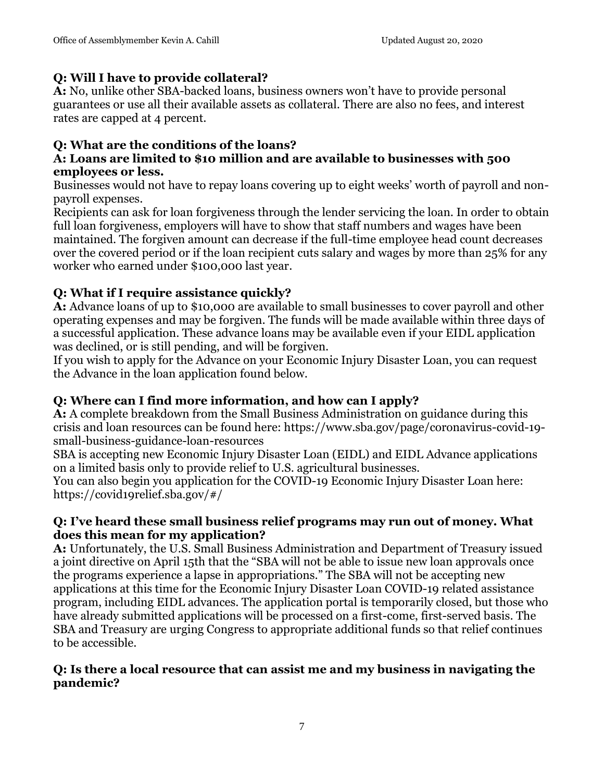#### **Q: Will I have to provide collateral?**

**A:** No, unlike other SBA-backed loans, business owners won't have to provide personal guarantees or use all their available assets as collateral. There are also no fees, and interest rates are capped at 4 percent.

# **Q: What are the conditions of the loans?**

#### **A: Loans are limited to \$10 million and are available to businesses with 500 employees or less.**

Businesses would not have to repay loans covering up to eight weeks' worth of payroll and nonpayroll expenses.

Recipients can ask for loan forgiveness through the lender servicing the loan. In order to obtain full loan forgiveness, employers will have to show that staff numbers and wages have been maintained. The forgiven amount can decrease if the full-time employee head count decreases over the covered period or if the loan recipient cuts salary and wages by more than 25% for any worker who earned under \$100,000 last year.

# **Q: What if I require assistance quickly?**

**A:** Advance loans of up to \$10,000 are available to small businesses to cover payroll and other operating expenses and may be forgiven. The funds will be made available within three days of a successful application. These advance loans may be available even if your EIDL application was declined, or is still pending, and will be forgiven.

If you wish to apply for the Advance on your Economic Injury Disaster Loan, you can request the Advance in the loan application found below.

# **Q: Where can I find more information, and how can I apply?**

**A:** A complete breakdown from the Small Business Administration on guidance during this crisis and loan resources can be found here: https://www.sba.gov/page/coronavirus-covid-19 small-business-guidance-loan-resources

SBA is accepting new Economic Injury Disaster Loan (EIDL) and EIDL Advance applications on a limited basis only to provide relief to U.S. agricultural businesses.

You can also begin you application for the COVID-19 Economic Injury Disaster Loan here: https://covid19relief.sba.gov/#/

#### **Q: I've heard these small business relief programs may run out of money. What does this mean for my application?**

**A:** Unfortunately, the U.S. Small Business Administration and Department of Treasury issued a joint directive on April 15th that the "SBA will not be able to issue new loan approvals once the programs experience a lapse in appropriations." The SBA will not be accepting new applications at this time for the Economic Injury Disaster Loan COVID-19 related assistance program, including EIDL advances. The application portal is temporarily closed, but those who have already submitted applications will be processed on a first-come, first-served basis. The SBA and Treasury are urging Congress to appropriate additional funds so that relief continues to be accessible.

#### **Q: Is there a local resource that can assist me and my business in navigating the pandemic?**